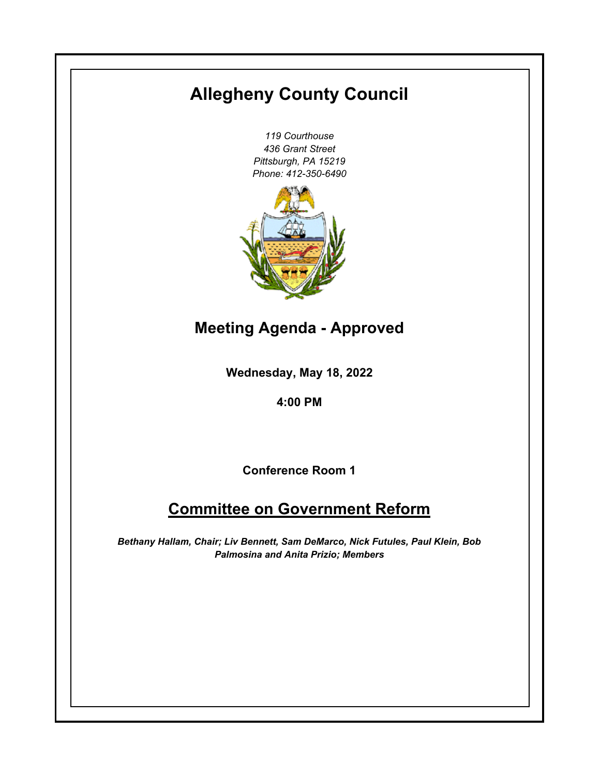# **Allegheny County Council**

*119 Courthouse 436 Grant Street Pittsburgh, PA 15219 Phone: 412-350-6490*



**Meeting Agenda - Approved**

**Wednesday, May 18, 2022**

**4:00 PM**

**Conference Room 1**

## **Committee on Government Reform**

*Bethany Hallam, Chair; Liv Bennett, Sam DeMarco, Nick Futules, Paul Klein, Bob Palmosina and Anita Prizio; Members*